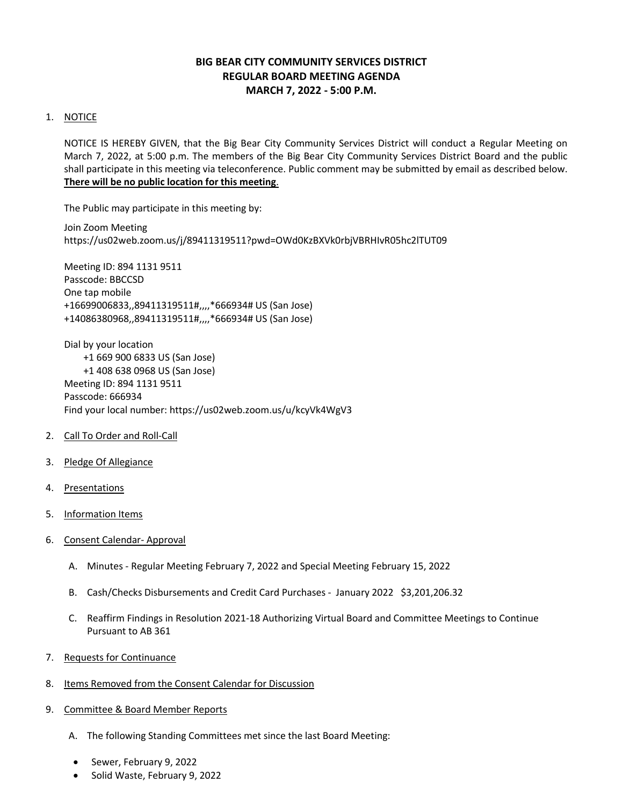# **BIG BEAR CITY COMMUNITY SERVICES DISTRICT REGULAR BOARD MEETING AGENDA MARCH 7, 2022 - 5:00 P.M.**

## 1. NOTICE

NOTICE IS HEREBY GIVEN, that the Big Bear City Community Services District will conduct a Regular Meeting on March 7, 2022, at 5:00 p.m. The members of the Big Bear City Community Services District Board and the public shall participate in this meeting via teleconference. Public comment may be submitted by email as described below. **There will be no public location for this meeting**.

The Public may participate in this meeting by:

Join Zoom Meeting https://us02web.zoom.us/j/89411319511?pwd=OWd0KzBXVk0rbjVBRHIvR05hc2lTUT09

Meeting ID: 894 1131 9511 Passcode: BBCCSD One tap mobile +16699006833,,89411319511#,,,,\*666934# US (San Jose) +14086380968,,89411319511#,,,,\*666934# US (San Jose)

Dial by your location +1 669 900 6833 US (San Jose) +1 408 638 0968 US (San Jose) Meeting ID: 894 1131 9511 Passcode: 666934 Find your local number: https://us02web.zoom.us/u/kcyVk4WgV3

- 2. Call To Order and Roll-Call
- 3. Pledge Of Allegiance
- 4. Presentations
- 5. Information Items
- 6. Consent Calendar- Approval
	- A. Minutes Regular Meeting February 7, 2022 and Special Meeting February 15, 2022
	- B. Cash/Checks Disbursements and Credit Card Purchases January 2022 \$3,201,206.32
	- C. Reaffirm Findings in Resolution 2021-18 Authorizing Virtual Board and Committee Meetings to Continue Pursuant to AB 361
- 7. Requests for Continuance
- 8. Items Removed from the Consent Calendar for Discussion
- 9. Committee & Board Member Reports
	- A. The following Standing Committees met since the last Board Meeting:
	- Sewer, February 9, 2022
	- Solid Waste, February 9, 2022